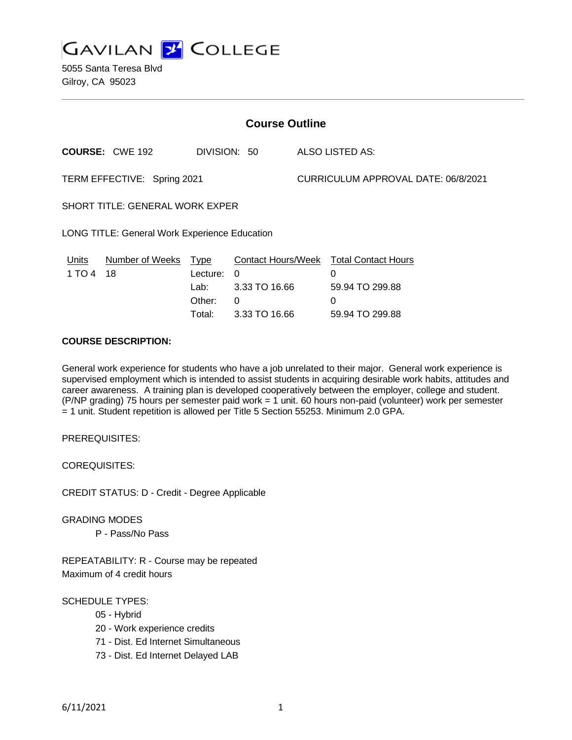

5055 Santa Teresa Blvd Gilroy, CA 95023

| <b>Course Outline</b>                                |                        |                                      |                                                 |                                     |                                                                                               |  |
|------------------------------------------------------|------------------------|--------------------------------------|-------------------------------------------------|-------------------------------------|-----------------------------------------------------------------------------------------------|--|
|                                                      | <b>COURSE: CWE 192</b> | DIVISION: 50                         |                                                 |                                     | ALSO LISTED AS:                                                                               |  |
| TERM EFFECTIVE: Spring 2021                          |                        |                                      |                                                 | CURRICULUM APPROVAL DATE: 06/8/2021 |                                                                                               |  |
| SHORT TITLE: GENERAL WORK EXPER                      |                        |                                      |                                                 |                                     |                                                                                               |  |
| <b>LONG TITLE: General Work Experience Education</b> |                        |                                      |                                                 |                                     |                                                                                               |  |
| Units<br>1 TO 4 18                                   | Number of Weeks Type   | Lecture:<br>Lab:<br>Other:<br>Total: | $\Omega$<br>3.33 TO 16.66<br>0<br>3.33 TO 16.66 |                                     | <b>Contact Hours/Week Total Contact Hours</b><br>0<br>59.94 TO 299.88<br>0<br>59.94 TO 299.88 |  |

# **COURSE DESCRIPTION:**

General work experience for students who have a job unrelated to their major. General work experience is supervised employment which is intended to assist students in acquiring desirable work habits, attitudes and career awareness. A training plan is developed cooperatively between the employer, college and student. (P/NP grading) 75 hours per semester paid work = 1 unit. 60 hours non-paid (volunteer) work per semester = 1 unit. Student repetition is allowed per Title 5 Section 55253. Minimum 2.0 GPA.

PREREQUISITES:

COREQUISITES:

CREDIT STATUS: D - Credit - Degree Applicable

GRADING MODES P - Pass/No Pass

REPEATABILITY: R - Course may be repeated Maximum of 4 credit hours

SCHEDULE TYPES:

- 05 Hybrid
- 20 Work experience credits
- 71 Dist. Ed Internet Simultaneous
- 73 Dist. Ed Internet Delayed LAB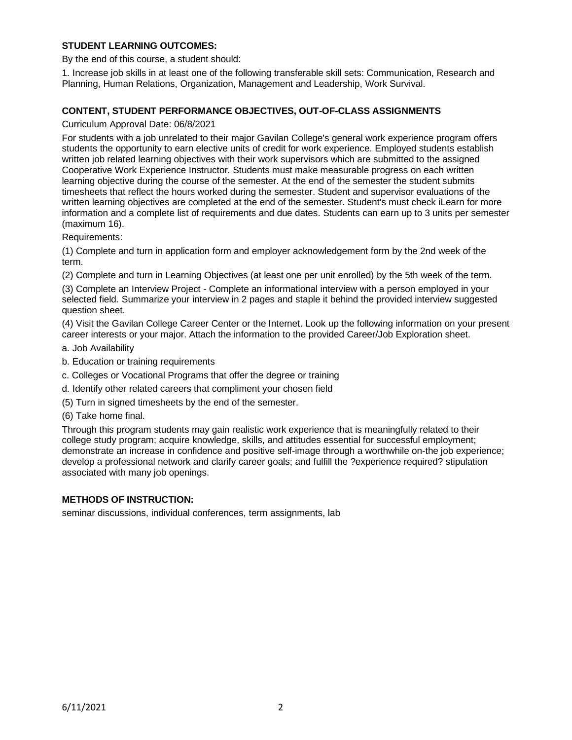# **STUDENT LEARNING OUTCOMES:**

By the end of this course, a student should:

1. Increase job skills in at least one of the following transferable skill sets: Communication, Research and Planning, Human Relations, Organization, Management and Leadership, Work Survival.

### **CONTENT, STUDENT PERFORMANCE OBJECTIVES, OUT-OF-CLASS ASSIGNMENTS**

Curriculum Approval Date: 06/8/2021

For students with a job unrelated to their major Gavilan College's general work experience program offers students the opportunity to earn elective units of credit for work experience. Employed students establish written job related learning objectives with their work supervisors which are submitted to the assigned Cooperative Work Experience Instructor. Students must make measurable progress on each written learning objective during the course of the semester. At the end of the semester the student submits timesheets that reflect the hours worked during the semester. Student and supervisor evaluations of the written learning objectives are completed at the end of the semester. Student's must check iLearn for more information and a complete list of requirements and due dates. Students can earn up to 3 units per semester (maximum 16).

Requirements:

(1) Complete and turn in application form and employer acknowledgement form by the 2nd week of the term.

(2) Complete and turn in Learning Objectives (at least one per unit enrolled) by the 5th week of the term.

(3) Complete an Interview Project - Complete an informational interview with a person employed in your selected field. Summarize your interview in 2 pages and staple it behind the provided interview suggested question sheet.

(4) Visit the Gavilan College Career Center or the Internet. Look up the following information on your present career interests or your major. Attach the information to the provided Career/Job Exploration sheet.

a. Job Availability

- b. Education or training requirements
- c. Colleges or Vocational Programs that offer the degree or training
- d. Identify other related careers that compliment your chosen field
- (5) Turn in signed timesheets by the end of the semester.
- (6) Take home final.

Through this program students may gain realistic work experience that is meaningfully related to their college study program; acquire knowledge, skills, and attitudes essential for successful employment; demonstrate an increase in confidence and positive self-image through a worthwhile on-the job experience; develop a professional network and clarify career goals; and fulfill the ?experience required? stipulation associated with many job openings.

#### **METHODS OF INSTRUCTION:**

seminar discussions, individual conferences, term assignments, lab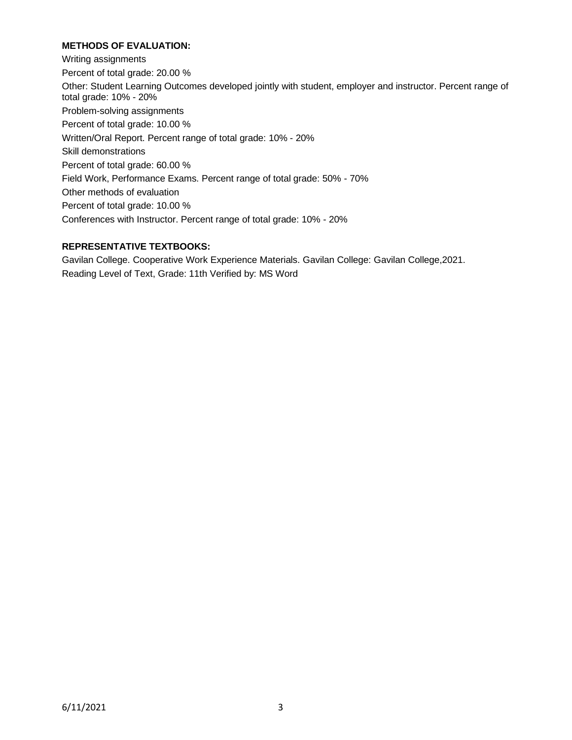# **METHODS OF EVALUATION:**

Writing assignments Percent of total grade: 20.00 % Other: Student Learning Outcomes developed jointly with student, employer and instructor. Percent range of total grade: 10% - 20% Problem-solving assignments Percent of total grade: 10.00 % Written/Oral Report. Percent range of total grade: 10% - 20% Skill demonstrations Percent of total grade: 60.00 % Field Work, Performance Exams. Percent range of total grade: 50% - 70% Other methods of evaluation Percent of total grade: 10.00 % Conferences with Instructor. Percent range of total grade: 10% - 20%

# **REPRESENTATIVE TEXTBOOKS:**

Gavilan College. Cooperative Work Experience Materials. Gavilan College: Gavilan College,2021. Reading Level of Text, Grade: 11th Verified by: MS Word